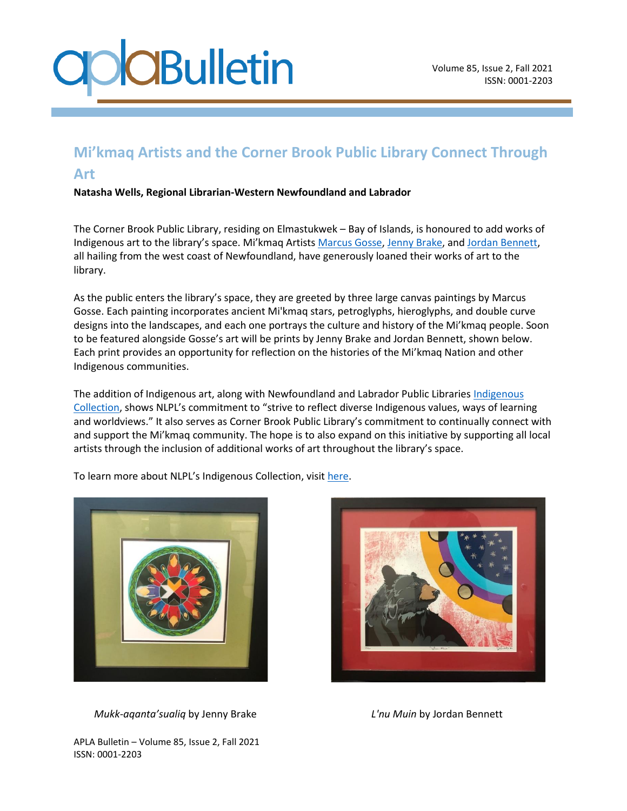## **CBulletin**

## **Mi'kmaq Artists and the Corner Brook Public Library Connect Through Art**

**Natasha Wells, Regional Librarian-Western Newfoundland and Labrador**

The Corner Brook Public Library, residing on Elmastukwek – Bay of Islands, is honoured to add works of Indigenous art to the library's space. Mi'kmaq Artists [Marcus Gosse,](http://www.marcusgosse.ca/) [Jenny Brake,](https://www.facebook.com/empoweringindigenouswomenforstrongercommunites/photos/a.1088410194631188/1677047619100773/) an[d Jordan Bennett,](http://www.jordanbennett.ca/) all hailing from the west coast of Newfoundland, have generously loaned their works of art to the library.

As the public enters the library's space, they are greeted by three large canvas paintings by Marcus Gosse. Each painting incorporates ancient Mi'kmaq stars, petroglyphs, hieroglyphs, and double curve designs into the landscapes, and each one portrays the culture and history of the Mi'kmaq people. Soon to be featured alongside Gosse's art will be prints by Jenny Brake and Jordan Bennett, shown below. Each print provides an opportunity for reflection on the histories of the Mi'kmaq Nation and other Indigenous communities.

The addition of [Indigenous](https://guides.nlpl.ca/indigenousresources/library) art, along with Newfoundland and Labrador Public Libraries Indigenous [Collection](https://guides.nlpl.ca/indigenousresources/library), shows NLPL's commitment to "strive to reflect diverse Indigenous values, ways of learning and worldviews." It also serves as Corner Brook Public Library's commitment to continually connect with and support the Mi'kmaq community. The hope is to also expand on this initiative by supporting all local artists through the inclusion of additional works of art throughout the library's space.

To learn more about NLPL's Indigenous Collection, visit [here.](guides.nlpl.ca/indigenousresources)



 *Mukk-aqanta'sualiq* by Jenny Brake *L'nu Muin* by Jordan Bennett



APLA Bulletin – Volume 85, Issue 2, Fall 2021 ISSN: 0001-2203